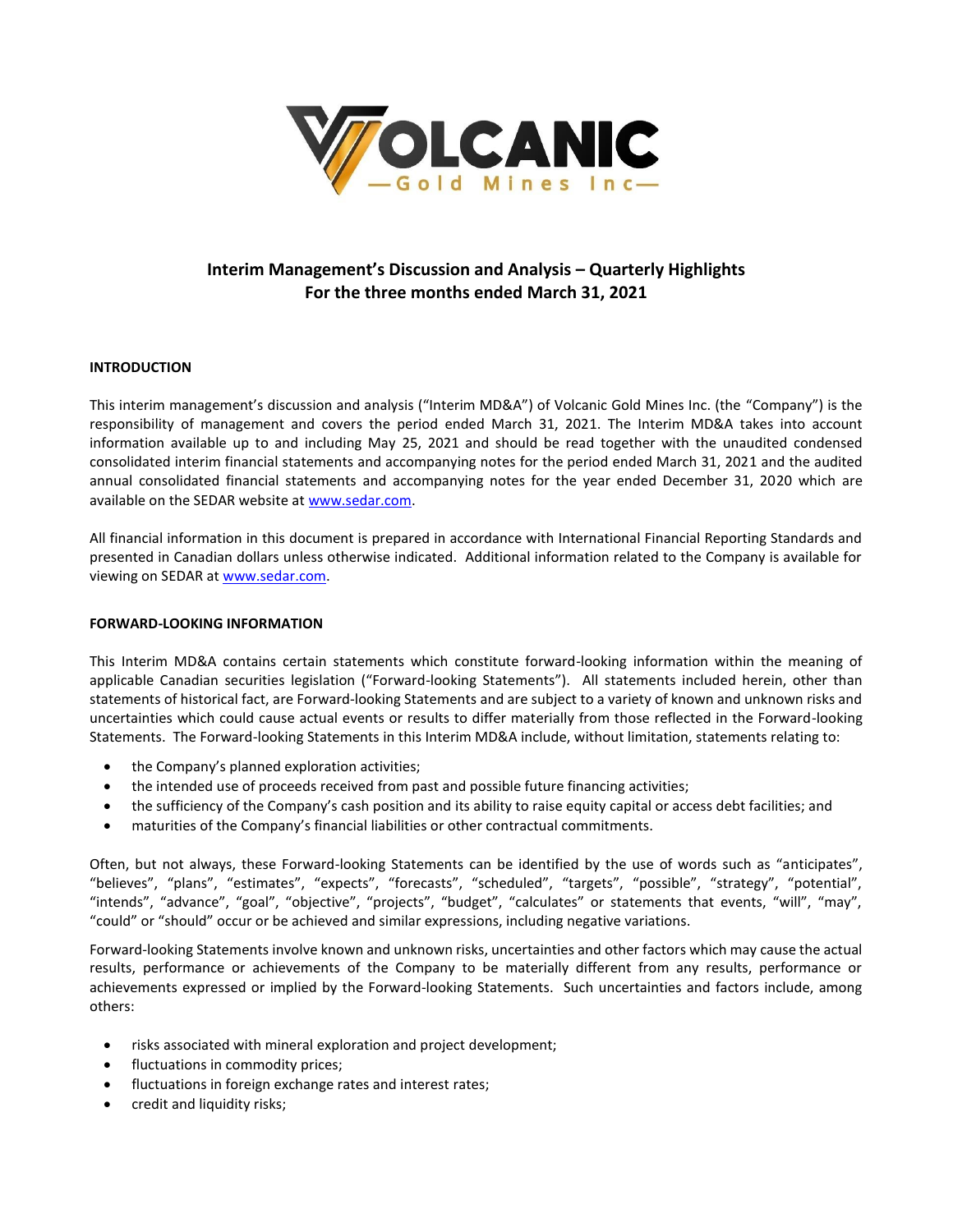

# **Interim Management's Discussion and Analysis – Quarterly Highlights For the three months ended March 31, 2021**

# **INTRODUCTION**

This interim management's discussion and analysis ("Interim MD&A") of Volcanic Gold Mines Inc. (the "Company") is the responsibility of management and covers the period ended March 31, 2021. The Interim MD&A takes into account information available up to and including May 25, 2021 and should be read together with the unaudited condensed consolidated interim financial statements and accompanying notes for the period ended March 31, 2021 and the audited annual consolidated financial statements and accompanying notes for the year ended December 31, 2020 which are available on the SEDAR website at [www.sedar.com.](http://www.sedar.com/)

All financial information in this document is prepared in accordance with International Financial Reporting Standards and presented in Canadian dollars unless otherwise indicated. Additional information related to the Company is available for viewing on SEDAR at [www.sedar.com.](http://www.sedar.com/)

# **FORWARD-LOOKING INFORMATION**

This Interim MD&A contains certain statements which constitute forward-looking information within the meaning of applicable Canadian securities legislation ("Forward-looking Statements"). All statements included herein, other than statements of historical fact, are Forward-looking Statements and are subject to a variety of known and unknown risks and uncertainties which could cause actual events or results to differ materially from those reflected in the Forward-looking Statements. The Forward-looking Statements in this Interim MD&A include, without limitation, statements relating to:

- the Company's planned exploration activities;
- the intended use of proceeds received from past and possible future financing activities;
- the sufficiency of the Company's cash position and its ability to raise equity capital or access debt facilities; and
- maturities of the Company's financial liabilities or other contractual commitments.

Often, but not always, these Forward-looking Statements can be identified by the use of words such as "anticipates", "believes", "plans", "estimates", "expects", "forecasts", "scheduled", "targets", "possible", "strategy", "potential", "intends", "advance", "goal", "objective", "projects", "budget", "calculates" or statements that events, "will", "may", "could" or "should" occur or be achieved and similar expressions, including negative variations.

Forward-looking Statements involve known and unknown risks, uncertainties and other factors which may cause the actual results, performance or achievements of the Company to be materially different from any results, performance or achievements expressed or implied by the Forward-looking Statements. Such uncertainties and factors include, among others:

- risks associated with mineral exploration and project development;
- fluctuations in commodity prices;
- fluctuations in foreign exchange rates and interest rates;
- credit and liquidity risks;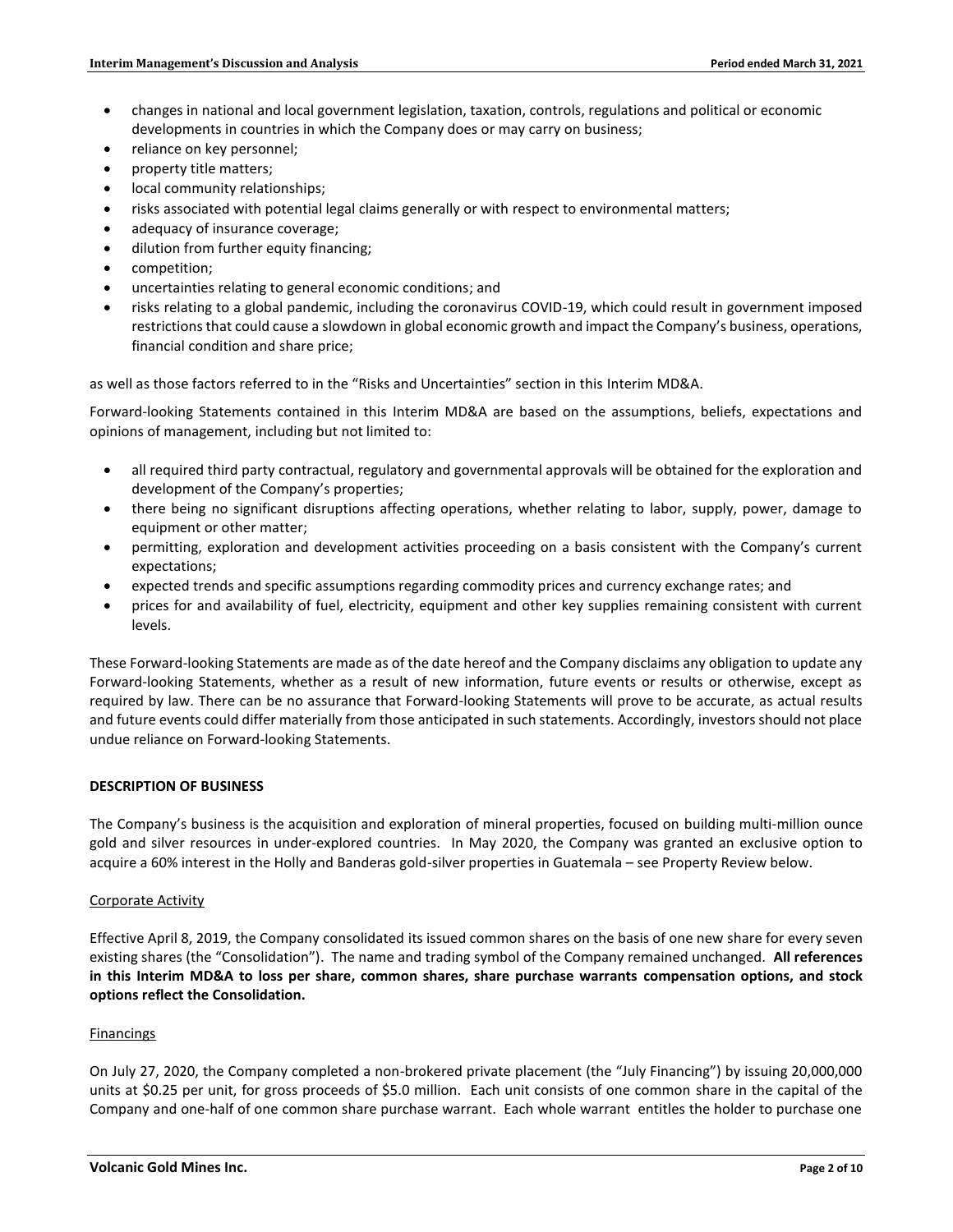- changes in national and local government legislation, taxation, controls, regulations and political or economic developments in countries in which the Company does or may carry on business;
- reliance on key personnel;
- property title matters;
- local community relationships;
- risks associated with potential legal claims generally or with respect to environmental matters;
- adequacy of insurance coverage;
- dilution from further equity financing;
- competition;
- uncertainties relating to general economic conditions; and
- risks relating to a global pandemic, including the coronavirus COVID-19, which could result in government imposed restrictions that could cause a slowdown in global economic growth and impact the Company's business, operations, financial condition and share price;

as well as those factors referred to in the "Risks and Uncertainties" section in this Interim MD&A.

Forward-looking Statements contained in this Interim MD&A are based on the assumptions, beliefs, expectations and opinions of management, including but not limited to:

- all required third party contractual, regulatory and governmental approvals will be obtained for the exploration and development of the Company's properties;
- there being no significant disruptions affecting operations, whether relating to labor, supply, power, damage to equipment or other matter;
- permitting, exploration and development activities proceeding on a basis consistent with the Company's current expectations;
- expected trends and specific assumptions regarding commodity prices and currency exchange rates; and
- prices for and availability of fuel, electricity, equipment and other key supplies remaining consistent with current levels.

These Forward-looking Statements are made as of the date hereof and the Company disclaims any obligation to update any Forward-looking Statements, whether as a result of new information, future events or results or otherwise, except as required by law. There can be no assurance that Forward-looking Statements will prove to be accurate, as actual results and future events could differ materially from those anticipated in such statements. Accordingly, investors should not place undue reliance on Forward-looking Statements.

# **DESCRIPTION OF BUSINESS**

The Company's business is the acquisition and exploration of mineral properties, focused on building multi-million ounce gold and silver resources in under-explored countries. In May 2020, the Company was granted an exclusive option to acquire a 60% interest in the Holly and Banderas gold-silver properties in Guatemala – see Property Review below.

### Corporate Activity

Effective April 8, 2019, the Company consolidated its issued common shares on the basis of one new share for every seven existing shares (the "Consolidation"). The name and trading symbol of the Company remained unchanged. **All references in this Interim MD&A to loss per share, common shares, share purchase warrants compensation options, and stock options reflect the Consolidation.**

# Financings

On July 27, 2020, the Company completed a non-brokered private placement (the "July Financing") by issuing 20,000,000 units at \$0.25 per unit, for gross proceeds of \$5.0 million. Each unit consists of one common share in the capital of the Company and one-half of one common share purchase warrant. Each whole warrant entitles the holder to purchase one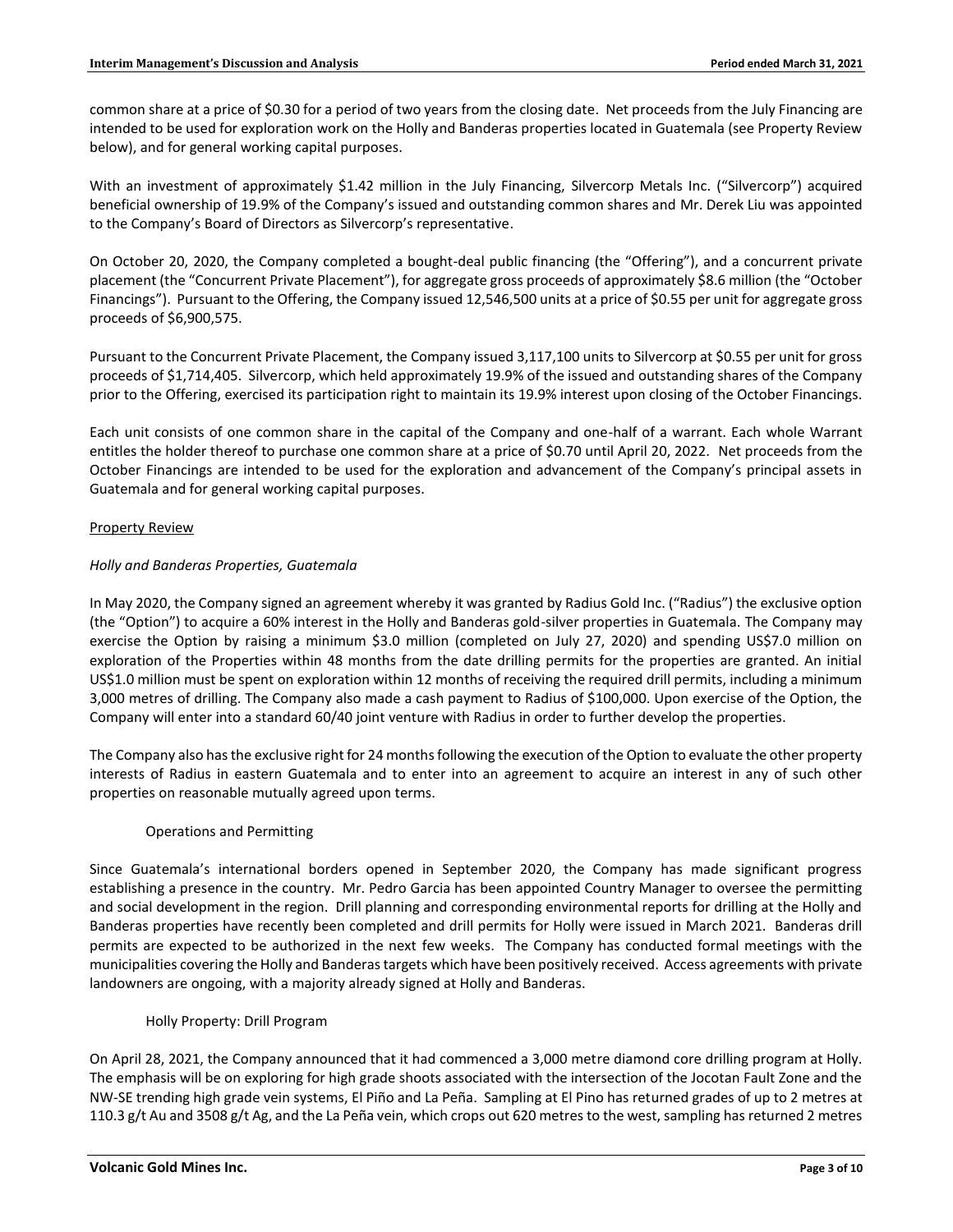common share at a price of \$0.30 for a period of two years from the closing date. Net proceeds from the July Financing are intended to be used for exploration work on the Holly and Banderas properties located in Guatemala (see Property Review below), and for general working capital purposes.

With an investment of approximately \$1.42 million in the July Financing, Silvercorp Metals Inc. ("Silvercorp") acquired beneficial ownership of 19.9% of the Company's issued and outstanding common shares and Mr. Derek Liu was appointed to the Company's Board of Directors as Silvercorp's representative.

On October 20, 2020, the Company completed a bought-deal public financing (the "Offering"), and a concurrent private placement (the "Concurrent Private Placement"), for aggregate gross proceeds of approximately \$8.6 million (the "October Financings"). Pursuant to the Offering, the Company issued 12,546,500 units at a price of \$0.55 per unit for aggregate gross proceeds of \$6,900,575.

Pursuant to the Concurrent Private Placement, the Company issued 3,117,100 units to Silvercorp at \$0.55 per unit for gross proceeds of \$1,714,405. Silvercorp, which held approximately 19.9% of the issued and outstanding shares of the Company prior to the Offering, exercised its participation right to maintain its 19.9% interest upon closing of the October Financings.

Each unit consists of one common share in the capital of the Company and one-half of a warrant. Each whole Warrant entitles the holder thereof to purchase one common share at a price of \$0.70 until April 20, 2022. Net proceeds from the October Financings are intended to be used for the exploration and advancement of the Company's principal assets in Guatemala and for general working capital purposes.

# Property Review

# *Holly and Banderas Properties, Guatemala*

In May 2020, the Company signed an agreement whereby it was granted by Radius Gold Inc. ("Radius") the exclusive option (the "Option") to acquire a 60% interest in the Holly and Banderas gold-silver properties in Guatemala. The Company may exercise the Option by raising a minimum \$3.0 million (completed on July 27, 2020) and spending US\$7.0 million on exploration of the Properties within 48 months from the date drilling permits for the properties are granted. An initial US\$1.0 million must be spent on exploration within 12 months of receiving the required drill permits, including a minimum 3,000 metres of drilling. The Company also made a cash payment to Radius of \$100,000. Upon exercise of the Option, the Company will enter into a standard 60/40 joint venture with Radius in order to further develop the properties.

The Company also has the exclusive right for 24 months following the execution of the Option to evaluate the other property interests of Radius in eastern Guatemala and to enter into an agreement to acquire an interest in any of such other properties on reasonable mutually agreed upon terms.

# Operations and Permitting

Since Guatemala's international borders opened in September 2020, the Company has made significant progress establishing a presence in the country. Mr. Pedro Garcia has been appointed Country Manager to oversee the permitting and social development in the region. Drill planning and corresponding environmental reports for drilling at the Holly and Banderas properties have recently been completed and drill permits for Holly were issued in March 2021. Banderas drill permits are expected to be authorized in the next few weeks. The Company has conducted formal meetings with the municipalities covering the Holly and Banderas targets which have been positively received. Access agreements with private landowners are ongoing, with a majority already signed at Holly and Banderas.

### Holly Property: Drill Program

On April 28, 2021, the Company announced that it had commenced a 3,000 metre diamond core drilling program at Holly. The emphasis will be on exploring for high grade shoots associated with the intersection of the Jocotan Fault Zone and the NW-SE trending high grade vein systems, El Piño and La Peña. Sampling at El Pino has returned grades of up to 2 metres at 110.3 g/t Au and 3508 g/t Ag, and the La Peña vein, which crops out 620 metres to the west, sampling has returned 2 metres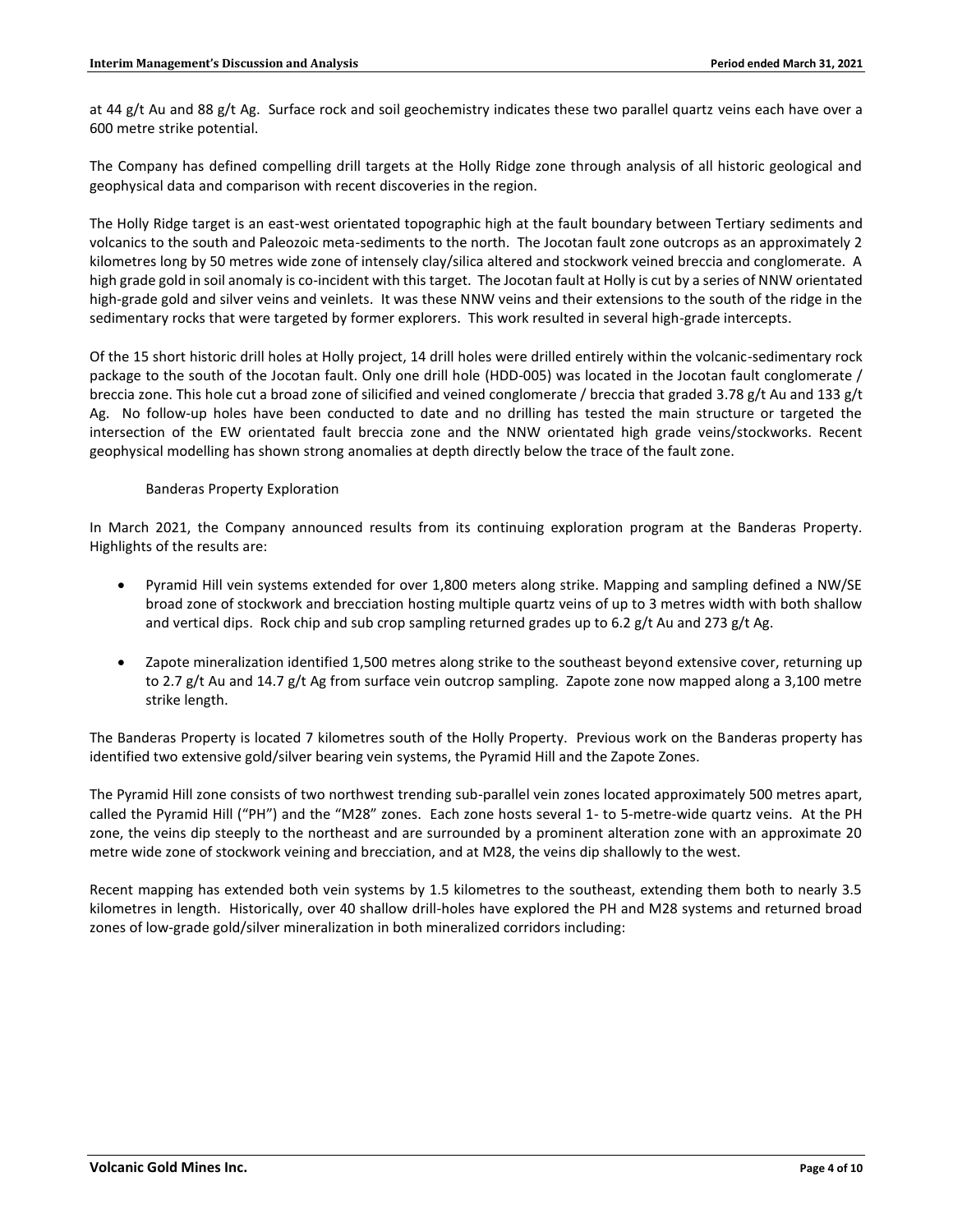at 44 g/t Au and 88 g/t Ag. Surface rock and soil geochemistry indicates these two parallel quartz veins each have over a 600 metre strike potential.

The Company has defined compelling drill targets at the Holly Ridge zone through analysis of all historic geological and geophysical data and comparison with recent discoveries in the region.

The Holly Ridge target is an east-west orientated topographic high at the fault boundary between Tertiary sediments and volcanics to the south and Paleozoic meta-sediments to the north. The Jocotan fault zone outcrops as an approximately 2 kilometres long by 50 metres wide zone of intensely clay/silica altered and stockwork veined breccia and conglomerate. A high grade gold in soil anomaly is co-incident with this target. The Jocotan fault at Holly is cut by a series of NNW orientated high-grade gold and silver veins and veinlets. It was these NNW veins and their extensions to the south of the ridge in the sedimentary rocks that were targeted by former explorers. This work resulted in several high-grade intercepts.

Of the 15 short historic drill holes at Holly project, 14 drill holes were drilled entirely within the volcanic-sedimentary rock package to the south of the Jocotan fault. Only one drill hole (HDD-005) was located in the Jocotan fault conglomerate / breccia zone. This hole cut a broad zone of silicified and veined conglomerate / breccia that graded 3.78 g/t Au and 133 g/t Ag. No follow-up holes have been conducted to date and no drilling has tested the main structure or targeted the intersection of the EW orientated fault breccia zone and the NNW orientated high grade veins/stockworks. Recent geophysical modelling has shown strong anomalies at depth directly below the trace of the fault zone.

### Banderas Property Exploration

In March 2021, the Company announced results from its continuing exploration program at the Banderas Property. Highlights of the results are:

- Pyramid Hill vein systems extended for over 1,800 meters along strike. Mapping and sampling defined a NW/SE broad zone of stockwork and brecciation hosting multiple quartz veins of up to 3 metres width with both shallow and vertical dips. Rock chip and sub crop sampling returned grades up to 6.2 g/t Au and 273 g/t Ag.
- Zapote mineralization identified 1,500 metres along strike to the southeast beyond extensive cover, returning up to 2.7 g/t Au and 14.7 g/t Ag from surface vein outcrop sampling. Zapote zone now mapped along a 3,100 metre strike length.

The Banderas Property is located 7 kilometres south of the Holly Property. Previous work on the Banderas property has identified two extensive gold/silver bearing vein systems, the Pyramid Hill and the Zapote Zones.

The Pyramid Hill zone consists of two northwest trending sub-parallel vein zones located approximately 500 metres apart, called the Pyramid Hill ("PH") and the "M28" zones. Each zone hosts several 1- to 5-metre-wide quartz veins. At the PH zone, the veins dip steeply to the northeast and are surrounded by a prominent alteration zone with an approximate 20 metre wide zone of stockwork veining and brecciation, and at M28, the veins dip shallowly to the west.

Recent mapping has extended both vein systems by 1.5 kilometres to the southeast, extending them both to nearly 3.5 kilometres in length. Historically, over 40 shallow drill-holes have explored the PH and M28 systems and returned broad zones of low-grade gold/silver mineralization in both mineralized corridors including: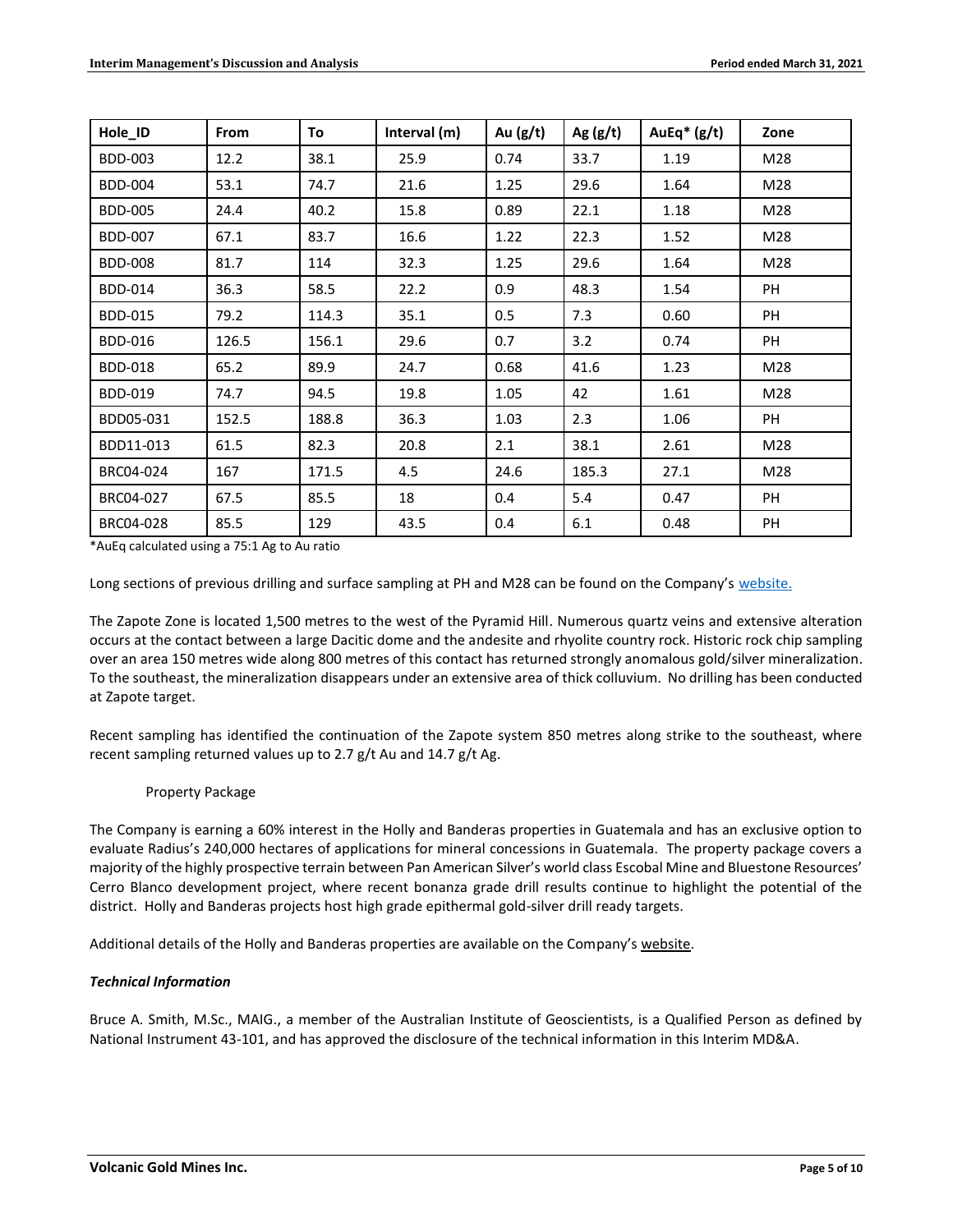| Hole_ID        | From  | To    | Interval (m) | Au $(g/t)$ | Ag $(g/t)$ | AuEq $*(g/t)$ | Zone      |
|----------------|-------|-------|--------------|------------|------------|---------------|-----------|
| <b>BDD-003</b> | 12.2  | 38.1  | 25.9         | 0.74       | 33.7       | 1.19          | M28       |
| <b>BDD-004</b> | 53.1  | 74.7  | 21.6         | 1.25       | 29.6       | 1.64          | M28       |
| <b>BDD-005</b> | 24.4  | 40.2  | 15.8         | 0.89       | 22.1       | 1.18          | M28       |
| <b>BDD-007</b> | 67.1  | 83.7  | 16.6         | 1.22       | 22.3       | 1.52          | M28       |
| <b>BDD-008</b> | 81.7  | 114   | 32.3         | 1.25       | 29.6       | 1.64          | M28       |
| <b>BDD-014</b> | 36.3  | 58.5  | 22.2         | 0.9        | 48.3       | 1.54          | PH        |
| <b>BDD-015</b> | 79.2  | 114.3 | 35.1         | 0.5        | 7.3        | 0.60          | PH        |
| <b>BDD-016</b> | 126.5 | 156.1 | 29.6         | 0.7        | 3.2        | 0.74          | <b>PH</b> |
| <b>BDD-018</b> | 65.2  | 89.9  | 24.7         | 0.68       | 41.6       | 1.23          | M28       |
| <b>BDD-019</b> | 74.7  | 94.5  | 19.8         | 1.05       | 42         | 1.61          | M28       |
| BDD05-031      | 152.5 | 188.8 | 36.3         | 1.03       | 2.3        | 1.06          | PH        |
| BDD11-013      | 61.5  | 82.3  | 20.8         | 2.1        | 38.1       | 2.61          | M28       |
| BRC04-024      | 167   | 171.5 | 4.5          | 24.6       | 185.3      | 27.1          | M28       |
| BRC04-027      | 67.5  | 85.5  | 18           | 0.4        | 5.4        | 0.47          | PH        |
| BRC04-028      | 85.5  | 129   | 43.5         | 0.4        | 6.1        | 0.48          | PH        |

\*AuEq calculated using a 75:1 Ag to Au ratio

Long sections of previous drilling and surface sampling at PH and M28 can be found on the Company's [website.](https://www.volgold.com/projects/banderas-project/)

The Zapote Zone is located 1,500 metres to the west of the Pyramid Hill. Numerous quartz veins and extensive alteration occurs at the contact between a large Dacitic dome and the andesite and rhyolite country rock. Historic rock chip sampling over an area 150 metres wide along 800 metres of this contact has returned strongly anomalous gold/silver mineralization. To the southeast, the mineralization disappears under an extensive area of thick colluvium. No drilling has been conducted at Zapote target.

Recent sampling has identified the continuation of the Zapote system 850 metres along strike to the southeast, where recent sampling returned values up to 2.7 g/t Au and 14.7 g/t Ag.

# Property Package

The Company is earning a 60% interest in the Holly and Banderas properties in Guatemala and has an exclusive option to evaluate Radius's 240,000 hectares of applications for mineral concessions in Guatemala. The property package covers a majority of the highly prospective terrain between Pan American Silver's world class Escobal Mine and Bluestone Resources' Cerro Blanco development project, where recent bonanza grade drill results continue to highlight the potential of the district. Holly and Banderas projects host high grade epithermal gold-silver drill ready targets.

Additional details of the Holly and Banderas properties are available on the Company's [website.](http://www.volgold.com/)

### *Technical Information*

Bruce A. Smith, M.Sc., MAIG., a member of the Australian Institute of Geoscientists, is a Qualified Person as defined by National Instrument 43-101, and has approved the disclosure of the technical information in this Interim MD&A.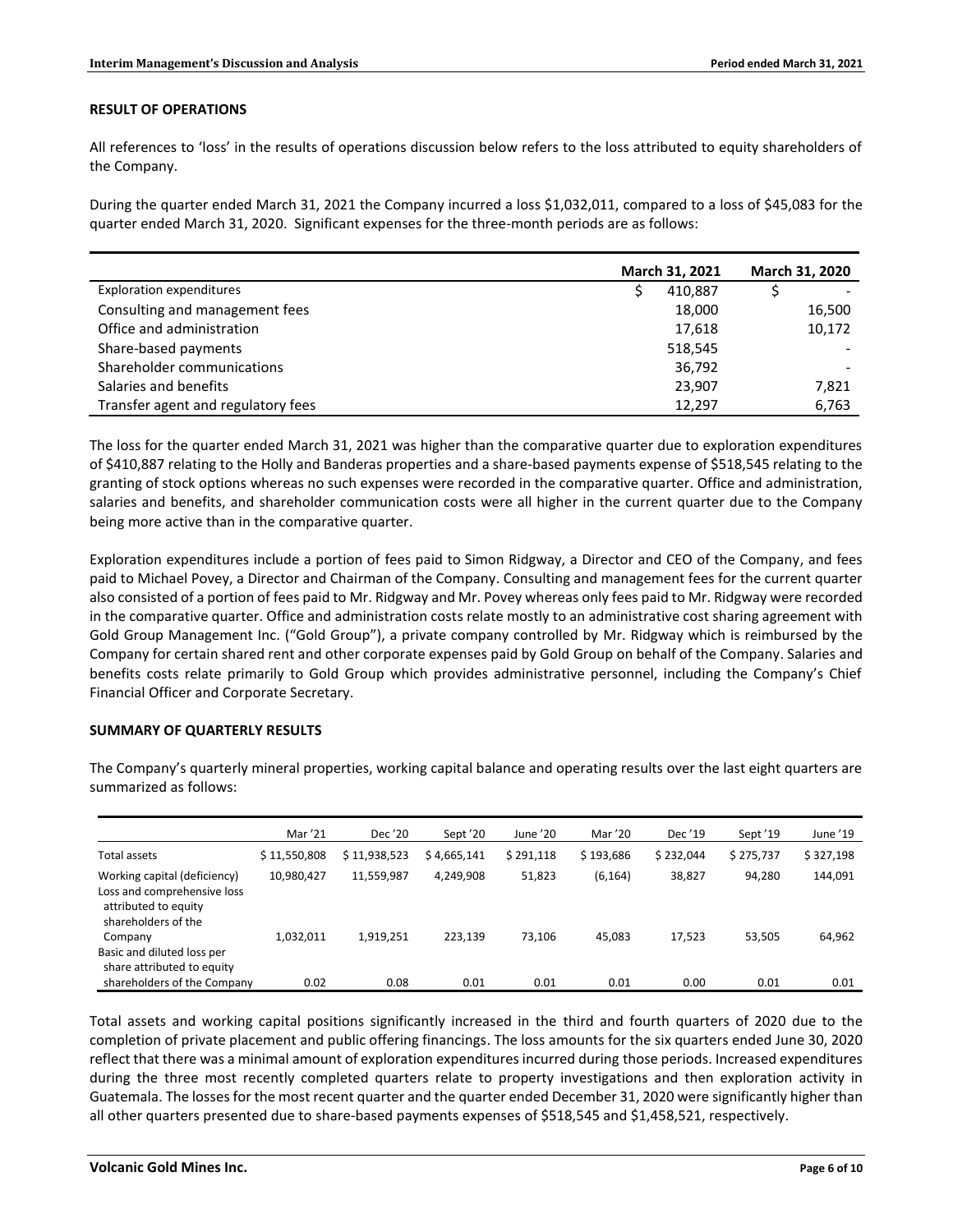# **RESULT OF OPERATIONS**

All references to 'loss' in the results of operations discussion below refers to the loss attributed to equity shareholders of the Company.

During the quarter ended March 31, 2021 the Company incurred a loss \$1,032,011, compared to a loss of \$45,083 for the quarter ended March 31, 2020. Significant expenses for the three-month periods are as follows:

|                                    | March 31, 2021 | March 31, 2020 |
|------------------------------------|----------------|----------------|
| <b>Exploration expenditures</b>    | 410,887        |                |
| Consulting and management fees     | 18,000         | 16,500         |
| Office and administration          | 17,618         | 10,172         |
| Share-based payments               | 518,545        |                |
| Shareholder communications         | 36,792         |                |
| Salaries and benefits              | 23,907         | 7,821          |
| Transfer agent and regulatory fees | 12,297         | 6,763          |

The loss for the quarter ended March 31, 2021 was higher than the comparative quarter due to exploration expenditures of \$410,887 relating to the Holly and Banderas properties and a share-based payments expense of \$518,545 relating to the granting of stock options whereas no such expenses were recorded in the comparative quarter. Office and administration, salaries and benefits, and shareholder communication costs were all higher in the current quarter due to the Company being more active than in the comparative quarter.

Exploration expenditures include a portion of fees paid to Simon Ridgway, a Director and CEO of the Company, and fees paid to Michael Povey, a Director and Chairman of the Company. Consulting and management fees for the current quarter also consisted of a portion of fees paid to Mr. Ridgway and Mr. Povey whereas only fees paid to Mr. Ridgway were recorded in the comparative quarter. Office and administration costs relate mostly to an administrative cost sharing agreement with Gold Group Management Inc. ("Gold Group"), a private company controlled by Mr. Ridgway which is reimbursed by the Company for certain shared rent and other corporate expenses paid by Gold Group on behalf of the Company. Salaries and benefits costs relate primarily to Gold Group which provides administrative personnel, including the Company's Chief Financial Officer and Corporate Secretary.

### **SUMMARY OF QUARTERLY RESULTS**

|                                                                                                            | Mar '21      | Dec '20      | Sept '20    | June '20  | Mar '20   | Dec '19   | Sept '19  | June '19  |
|------------------------------------------------------------------------------------------------------------|--------------|--------------|-------------|-----------|-----------|-----------|-----------|-----------|
| Total assets                                                                                               | \$11,550,808 | \$11,938,523 | \$4.665.141 | \$291.118 | \$193.686 | \$232.044 | \$275.737 | \$327,198 |
| Working capital (deficiency)<br>Loss and comprehensive loss<br>attributed to equity<br>shareholders of the | 10,980,427   | 11,559,987   | 4,249,908   | 51,823    | (6, 164)  | 38,827    | 94,280    | 144,091   |
| Company<br>Basic and diluted loss per<br>share attributed to equity                                        | 1.032.011    | 1,919,251    | 223.139     | 73.106    | 45.083    | 17,523    | 53.505    | 64,962    |
| shareholders of the Company                                                                                | 0.02         | 0.08         | 0.01        | 0.01      | 0.01      | 0.00      | 0.01      | 0.01      |

The Company's quarterly mineral properties, working capital balance and operating results over the last eight quarters are summarized as follows:

Total assets and working capital positions significantly increased in the third and fourth quarters of 2020 due to the completion of private placement and public offering financings. The loss amounts for the six quarters ended June 30, 2020 reflect that there was a minimal amount of exploration expenditures incurred during those periods. Increased expenditures during the three most recently completed quarters relate to property investigations and then exploration activity in Guatemala. The losses for the most recent quarter and the quarter ended December 31, 2020 were significantly higher than all other quarters presented due to share-based payments expenses of \$518,545 and \$1,458,521, respectively.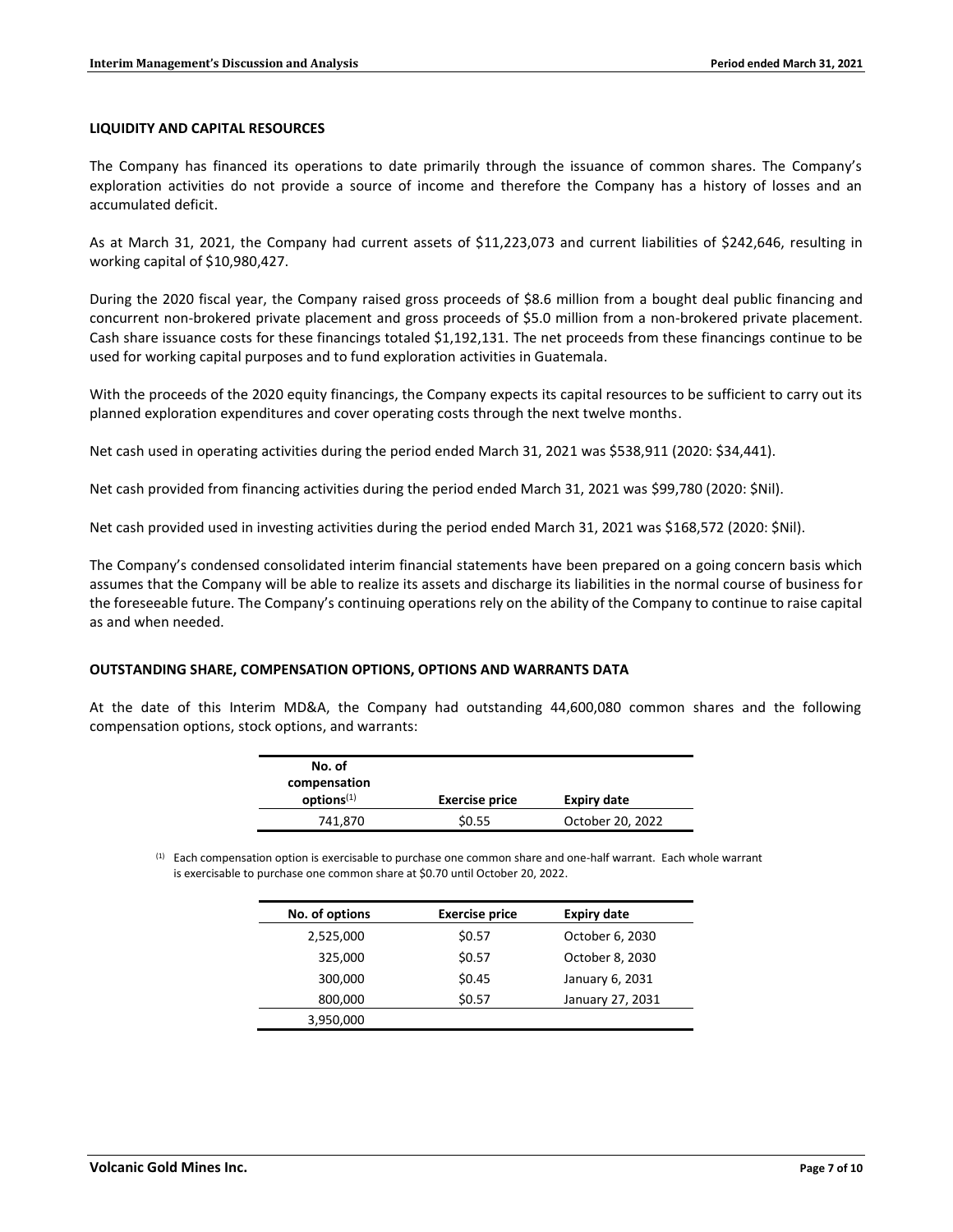### **LIQUIDITY AND CAPITAL RESOURCES**

The Company has financed its operations to date primarily through the issuance of common shares. The Company's exploration activities do not provide a source of income and therefore the Company has a history of losses and an accumulated deficit.

As at March 31, 2021, the Company had current assets of \$11,223,073 and current liabilities of \$242,646, resulting in working capital of \$10,980,427.

During the 2020 fiscal year, the Company raised gross proceeds of \$8.6 million from a bought deal public financing and concurrent non-brokered private placement and gross proceeds of \$5.0 million from a non-brokered private placement. Cash share issuance costs for these financings totaled \$1,192,131. The net proceeds from these financings continue to be used for working capital purposes and to fund exploration activities in Guatemala.

With the proceeds of the 2020 equity financings, the Company expects its capital resources to be sufficient to carry out its planned exploration expenditures and cover operating costs through the next twelve months.

Net cash used in operating activities during the period ended March 31, 2021 was \$538,911 (2020: \$34,441).

Net cash provided from financing activities during the period ended March 31, 2021 was \$99,780 (2020: \$Nil).

Net cash provided used in investing activities during the period ended March 31, 2021 was \$168,572 (2020: \$Nil).

The Company's condensed consolidated interim financial statements have been prepared on a going concern basis which assumes that the Company will be able to realize its assets and discharge its liabilities in the normal course of business for the foreseeable future. The Company's continuing operations rely on the ability of the Company to continue to raise capital as and when needed.

#### **OUTSTANDING SHARE, COMPENSATION OPTIONS, OPTIONS AND WARRANTS DATA**

At the date of this Interim MD&A, the Company had outstanding 44,600,080 common shares and the following compensation options, stock options, and warrants:

| No. of<br>compensation |                       |                    |
|------------------------|-----------------------|--------------------|
| options <sup>(1)</sup> | <b>Exercise price</b> | <b>Expiry date</b> |
| 741,870                | \$0.55                | October 20, 2022   |

 $(1)$  Each compensation option is exercisable to purchase one common share and one-half warrant. Each whole warrant is exercisable to purchase one common share at \$0.70 until October 20, 2022.

| No. of options | <b>Exercise price</b> | <b>Expiry date</b> |
|----------------|-----------------------|--------------------|
| 2,525,000      | \$0.57                | October 6, 2030    |
| 325,000        | \$0.57                | October 8, 2030    |
| 300,000        | \$0.45                | January 6, 2031    |
| 800,000        | \$0.57                | January 27, 2031   |
| 3,950,000      |                       |                    |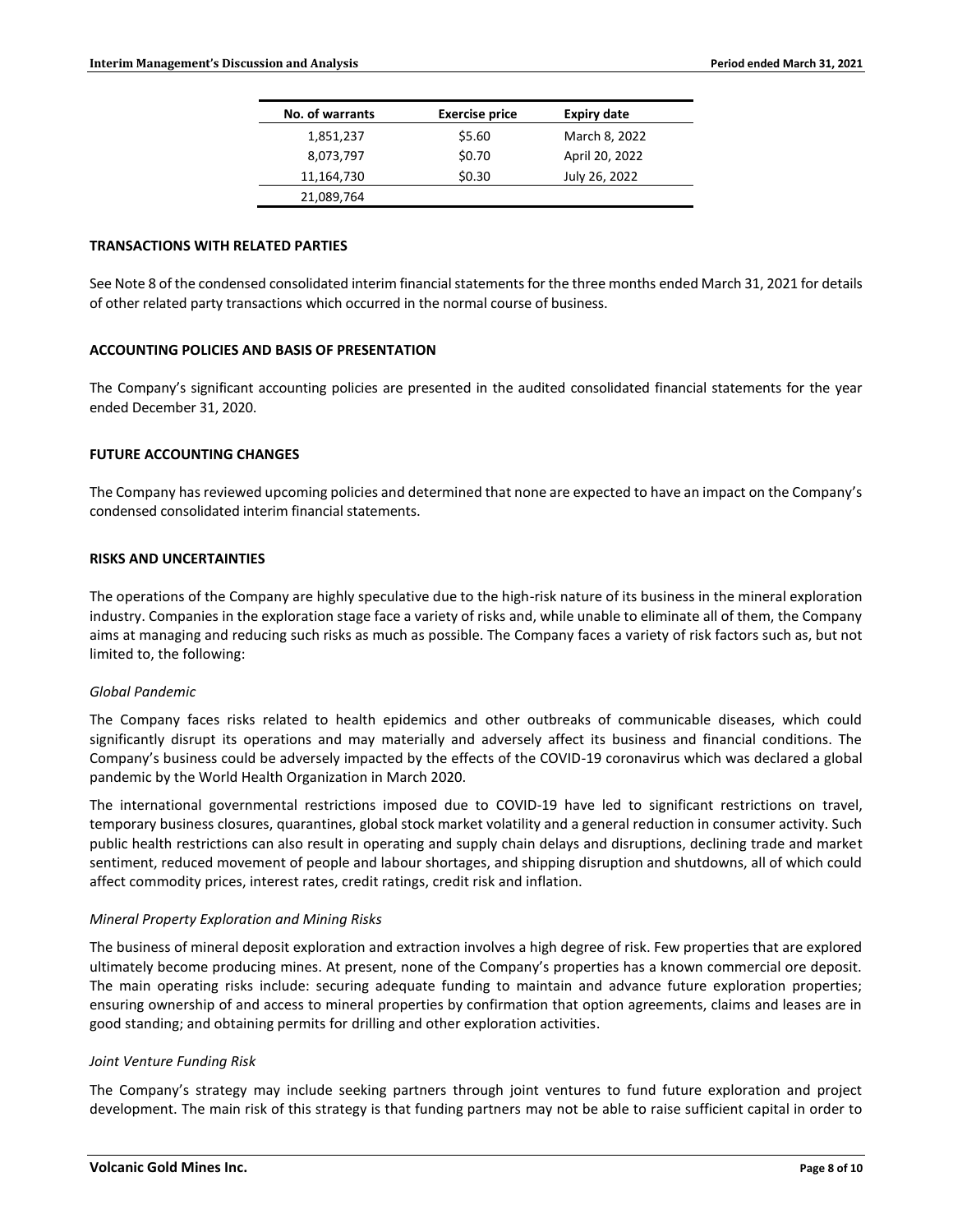| No. of warrants | <b>Exercise price</b> | <b>Expiry date</b> |
|-----------------|-----------------------|--------------------|
| 1,851,237       | \$5.60                | March 8, 2022      |
| 8,073,797       | \$0.70                | April 20, 2022     |
| 11,164,730      | \$0.30                | July 26, 2022      |
| 21,089,764      |                       |                    |

### **TRANSACTIONS WITH RELATED PARTIES**

See Note 8 of the condensed consolidated interim financial statements for the three months ended March 31, 2021 for details of other related party transactions which occurred in the normal course of business.

# **ACCOUNTING POLICIES AND BASIS OF PRESENTATION**

The Company's significant accounting policies are presented in the audited consolidated financial statements for the year ended December 31, 2020.

#### **FUTURE ACCOUNTING CHANGES**

The Company has reviewed upcoming policies and determined that none are expected to have an impact on the Company's condensed consolidated interim financial statements.

#### **RISKS AND UNCERTAINTIES**

The operations of the Company are highly speculative due to the high-risk nature of its business in the mineral exploration industry. Companies in the exploration stage face a variety of risks and, while unable to eliminate all of them, the Company aims at managing and reducing such risks as much as possible. The Company faces a variety of risk factors such as, but not limited to, the following:

# *Global Pandemic*

The Company faces risks related to health epidemics and other outbreaks of communicable diseases, which could significantly disrupt its operations and may materially and adversely affect its business and financial conditions. The Company's business could be adversely impacted by the effects of the COVID-19 coronavirus which was declared a global pandemic by the World Health Organization in March 2020.

The international governmental restrictions imposed due to COVID-19 have led to significant restrictions on travel, temporary business closures, quarantines, global stock market volatility and a general reduction in consumer activity. Such public health restrictions can also result in operating and supply chain delays and disruptions, declining trade and market sentiment, reduced movement of people and labour shortages, and shipping disruption and shutdowns, all of which could affect commodity prices, interest rates, credit ratings, credit risk and inflation.

### *Mineral Property Exploration and Mining Risks*

The business of mineral deposit exploration and extraction involves a high degree of risk. Few properties that are explored ultimately become producing mines. At present, none of the Company's properties has a known commercial ore deposit. The main operating risks include: securing adequate funding to maintain and advance future exploration properties; ensuring ownership of and access to mineral properties by confirmation that option agreements, claims and leases are in good standing; and obtaining permits for drilling and other exploration activities.

### *Joint Venture Funding Risk*

The Company's strategy may include seeking partners through joint ventures to fund future exploration and project development. The main risk of this strategy is that funding partners may not be able to raise sufficient capital in order to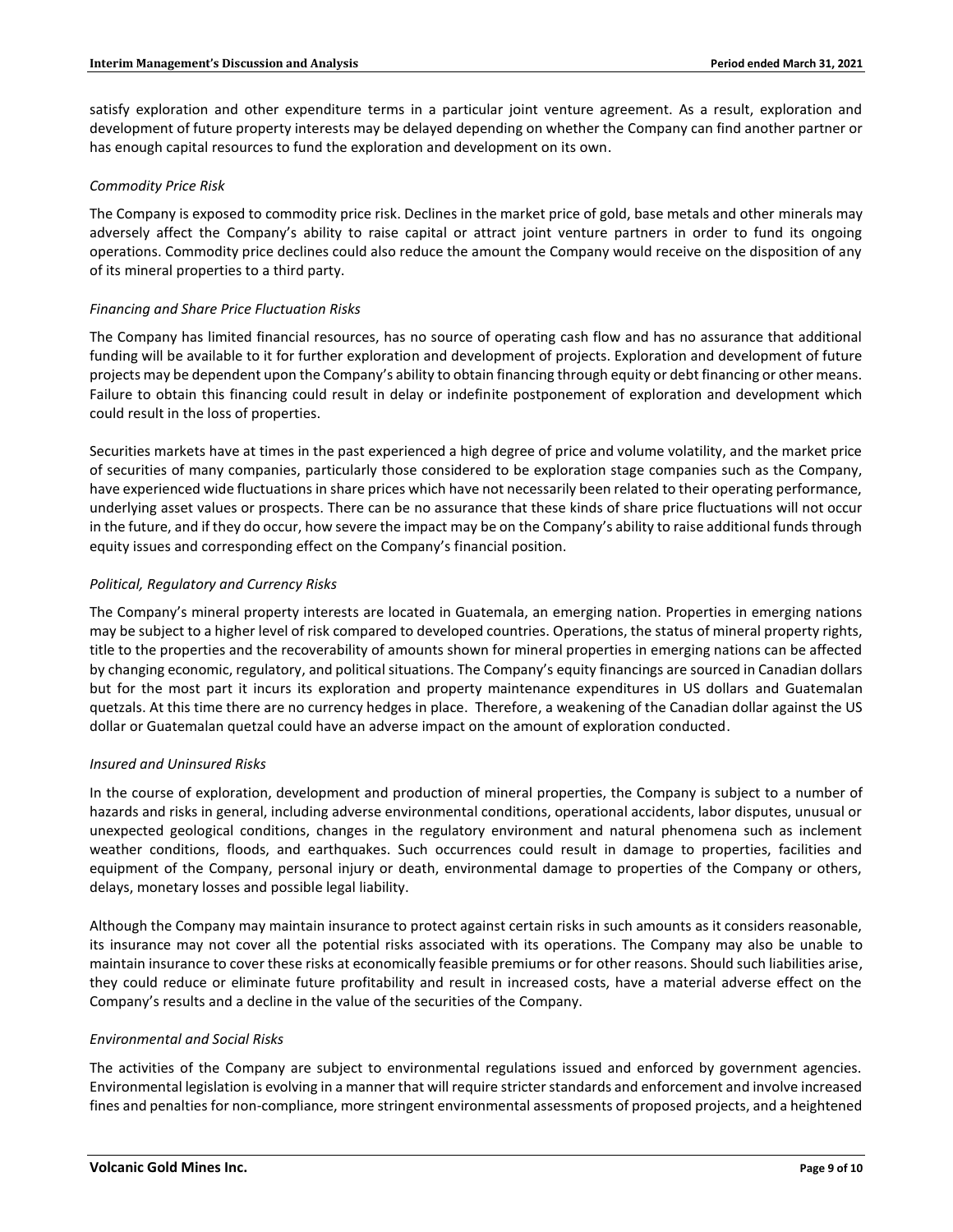satisfy exploration and other expenditure terms in a particular joint venture agreement. As a result, exploration and development of future property interests may be delayed depending on whether the Company can find another partner or has enough capital resources to fund the exploration and development on its own.

# *Commodity Price Risk*

The Company is exposed to commodity price risk. Declines in the market price of gold, base metals and other minerals may adversely affect the Company's ability to raise capital or attract joint venture partners in order to fund its ongoing operations. Commodity price declines could also reduce the amount the Company would receive on the disposition of any of its mineral properties to a third party.

# *Financing and Share Price Fluctuation Risks*

The Company has limited financial resources, has no source of operating cash flow and has no assurance that additional funding will be available to it for further exploration and development of projects. Exploration and development of future projects may be dependent upon the Company's ability to obtain financing through equity or debt financing or other means. Failure to obtain this financing could result in delay or indefinite postponement of exploration and development which could result in the loss of properties.

Securities markets have at times in the past experienced a high degree of price and volume volatility, and the market price of securities of many companies, particularly those considered to be exploration stage companies such as the Company, have experienced wide fluctuations in share prices which have not necessarily been related to their operating performance, underlying asset values or prospects. There can be no assurance that these kinds of share price fluctuations will not occur in the future, and if they do occur, how severe the impact may be on the Company's ability to raise additional funds through equity issues and corresponding effect on the Company's financial position.

# *Political, Regulatory and Currency Risks*

The Company's mineral property interests are located in Guatemala, an emerging nation. Properties in emerging nations may be subject to a higher level of risk compared to developed countries. Operations, the status of mineral property rights, title to the properties and the recoverability of amounts shown for mineral properties in emerging nations can be affected by changing economic, regulatory, and political situations. The Company's equity financings are sourced in Canadian dollars but for the most part it incurs its exploration and property maintenance expenditures in US dollars and Guatemalan quetzals. At this time there are no currency hedges in place. Therefore, a weakening of the Canadian dollar against the US dollar or Guatemalan quetzal could have an adverse impact on the amount of exploration conducted.

# *Insured and Uninsured Risks*

In the course of exploration, development and production of mineral properties, the Company is subject to a number of hazards and risks in general, including adverse environmental conditions, operational accidents, labor disputes, unusual or unexpected geological conditions, changes in the regulatory environment and natural phenomena such as inclement weather conditions, floods, and earthquakes. Such occurrences could result in damage to properties, facilities and equipment of the Company, personal injury or death, environmental damage to properties of the Company or others, delays, monetary losses and possible legal liability.

Although the Company may maintain insurance to protect against certain risks in such amounts as it considers reasonable, its insurance may not cover all the potential risks associated with its operations. The Company may also be unable to maintain insurance to cover these risks at economically feasible premiums or for other reasons. Should such liabilities arise, they could reduce or eliminate future profitability and result in increased costs, have a material adverse effect on the Company's results and a decline in the value of the securities of the Company.

### *Environmental and Social Risks*

The activities of the Company are subject to environmental regulations issued and enforced by government agencies. Environmental legislation is evolving in a manner that will require stricter standards and enforcement and involve increased fines and penalties for non-compliance, more stringent environmental assessments of proposed projects, and a heightened